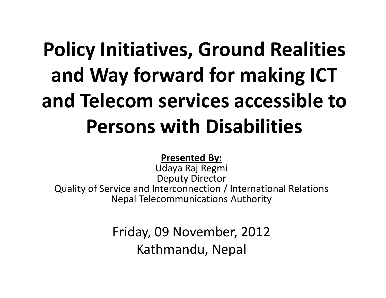# Policy Initiatives, Ground Realities and Way forward for making ICT and Telecom services accessible to Persons with Disabilities

#### Presented By:

 Udaya Raj Regmi Deputy Director

 Quality of Service and Interconnection / International RelationsNepal Telecommunications Authority

> Friday, 09 November, 2012Kathmandu, Nepal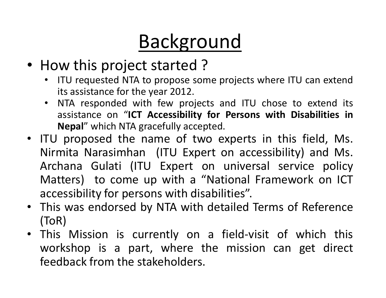# Background

- How this project started ?
	- ITU requested NTA to propose some projects where ITU can extendits assistance for the year 2012.
	- NTA responded with few projects and ITU chose to extend its assistance on "ICT Accessibility for Persons with Disabilities inNepal" which NTA gracefully accepted.
- ITU proposed the name of two experts in this field, Ms. Nirmita Narasimhan (ITU Expert on accessibility) and Ms.<br>Archaeos Gulati (ITU Europt on universal comics maline Archana Gulati (ITU Expert on universal service policy Matters) to come up with <sup>a</sup> "National Framework on ICT accessibility for persons with disabilities".
- This was endorsed by NTA with detailed Terms of Reference (ToR)
- This Mission is currently on <sup>a</sup> field-visit of which this workshop is <sup>a</sup> part, where the mission can get direct feedback from the stakeholders.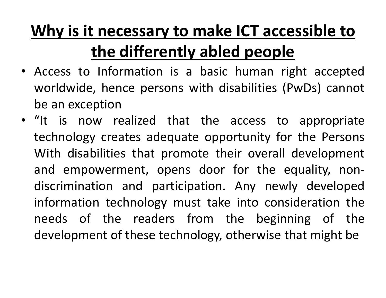#### Why is it necessary to make ICT accessible to the differently abled people

- Access to Information is <sup>a</sup> basic human right accepted worldwide, hence persons with disabilities (PwDs) cannot be an exception
- "It is now realized that the access to appropriate technology creates adequate opportunity for the Persons With disabilities that promote their overall development and empowerment, opens door for the equality, nondiscrimination and participation. Any newly developed information technology must take into consideration the needs of the readers from the beginning of the development of these technology, otherwise that might be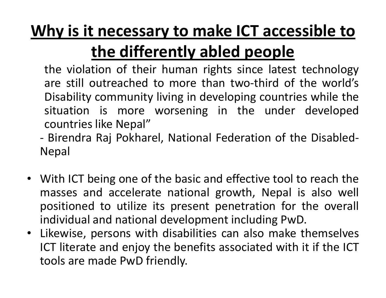#### Why is it necessary to make ICT accessible to

#### the differently abled people

 the violation of their human rights since latest technology are still outreached to more than two-third of the world's Disability community living in developing countries while the situation is more worsening in the under developedcountries like Nepal"

- - Birendra Raj Pokharel, National Federation of the Disabled-Nepal
- With ICT being one of the basic and effective tool to reach the masses and accelerate national growth, Nepal is also well positioned to utilize its present penetration for the overall individual and national development including PwD.
- $\bullet$  Likewise, persons with disabilities can also make themselves ICT literate and enjoy the benefits associated with it if the ICT tools are made PwD friendly.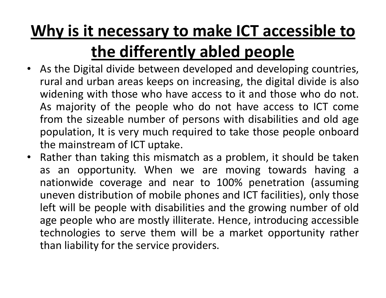#### Why is it necessary to make ICT accessible to

#### the differently abled people

- As the Digital divide between developed and developing countries, rural and urban areas keeps on increasing, the digital divide is alsowidening with those who have access to it and those who do not. As majority of the people who do not have access to ICT come from the sizeable number of persons with disabilities and old age population, It is very much required to take those people onboardthe mainstream of ICT uptake.<br>Pathor than taking this misms
- $\bullet$  Rather than taking this mismatch as <sup>a</sup> problem, it should be taken as an opportunity. When we are moving towards having <sup>a</sup> nationwide coverage and near to 100% penetration (assuming uneven distribution of mobile phones and ICT facilities), only those left will be people with disabilities and the growing number of old age people who are mostly illiterate. Hence, introducing accessible technologies to serve them will be <sup>a</sup> market opportunity rather than liability for the service providers.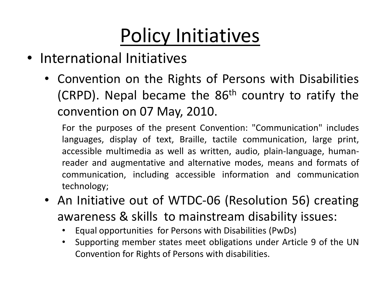# Policy Initiatives

- International Initiatives
	- Convention on the Rights of Persons with Disabilities (CRPD). Nepal became the  $86<sup>th</sup>$  country to ratify the convention on <sup>07</sup> May, 2010.

For the purposes of the present Convention: "Communication" includes languages, display of text, Braille, tactile communication, large print, accessible multimedia as well as written, audio, plain-language, human reader and augmentative and alternative modes, means and formats of communication, including accessible information and communicationtechnology;

- An Initiative out of WTDC-06 (Resolution 56) creating awareness & skills to mainstream disability issues:
	- •Equal opportunities for Persons with Disabilities (PwDs)
	- • Supporting member states meet obligations under Article <sup>9</sup> of the UNConvention for Rights of Persons with disabilities.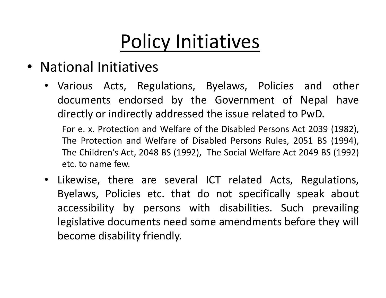#### Policy Initiatives

- National Initiatives
	- Various Acts, Regulations, Byelaws, Policies and other documents endorsed by the Government of Nepal have directly or indirectly addressed the issue related to PwD.

For e. x. Protection and Welfare of the Disabled Persons Act <sup>2039</sup> (1982), The Protection and Welfare of Disabled Persons Rules, <sup>2051</sup> BS (1994), The Children's Act, <sup>2048</sup> BS (1992), The Social Welfare Act <sup>2049</sup> BS (1992) etc. to name few.

• Likewise, there are several ICT related Acts, Regulations, Byelaws, Policies etc. that do not specifically speak about accessibility by persons with disabilities. Such prevailing legislative documents need some amendments before they will become disability friendly.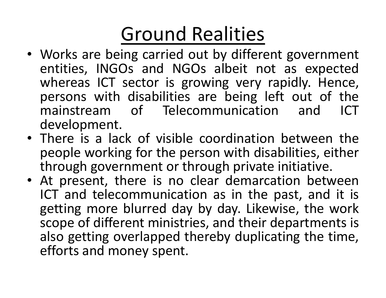# Ground Realities

- Works are being carried out by different government entities, INGOs and NGOs albeit not as expectedwhereas ICT sector is growing very rapidly. Hence, persons with disabilities are being left out of the<br>mainstream of Telecommunication and ICT mainstream of Telecommunication development.
- There is <sup>a</sup> lack of visible coordination between the people working for the person with disabilities, either through government or through private initiative.
- At present, there is no clear demarcation between ICT and telecommunication as in the past, and it is getting more blurred day by day. Likewise, the work scope of different ministries, and their departments is also getting overlapped thereby duplicating the time, efforts and money spent.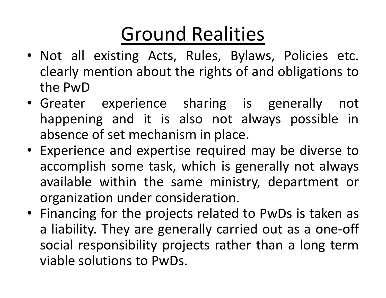# Ground Realities

- Not all existing Acts, Rules, Bylaws, Policies etc. clearly mention about the rights of and obligations tothe PwD
- Greater experience sharing is generally not happening and it is also not always possible inabsence of set mechanism in place.
- Experience and expertise required may be diverse to accomplish some task, which is generally not always available within the same ministry, department or organization under consideration.
- Financing for the projects related to PwDs is taken as <sup>a</sup> liability. They are generally carried out as <sup>a</sup> one-off social responsibility projects rather than <sup>a</sup> long termviable solutions to PwDs.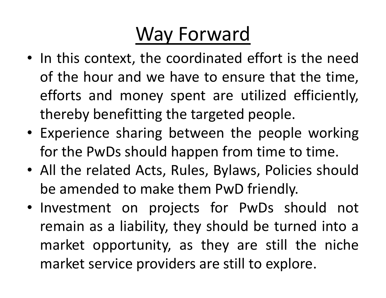#### Way Forward

- In this context, the coordinated effort is the need of the hour and we have to ensure that the time, efforts and money spent are utilized efficiently, thereby benefitting the targeted people.
- Experience sharing between the people working for the PwDs should happen from time to time.<br>All the related Acts, Bulse, Bulaws, Belisies she
- All the related Acts, Rules, Bylaws, Policies shouldbe amended to make them PwD friendly.
- Investment on projects for PwDs should not remain as <sup>a</sup> liability, they should be turned into <sup>a</sup> market opportunity, as they are still the niche market service providers are still to explore.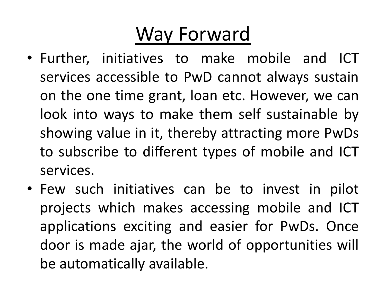#### Way Forward

- Further, initiatives to make mobile and ICT services accessible to PwD cannot always sustain on the one time grant, loan etc. However, we can look into ways to make them self sustainable by showing value in it, thereby attracting more PwDs to subscribe to different types of mobile and ICT services.
- Few such initiatives can be to invest in pilot projects which makes accessing mobile and ICT applications exciting and easier for PwDs. Once door is made ajar, the world of opportunities will be automatically available.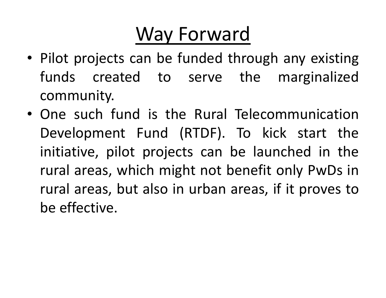#### Way Forward

- Pilot projects can be funded through any existing funds created to serve the marginalizedcommunity.
- One such fund is the Rural Telecommunication Development Fund (RTDF). To kick start the initiative, pilot projects can be launched in the rural areas, which might not benefit only PwDs in rural areas, but also in urban areas, if it proves tobe effective.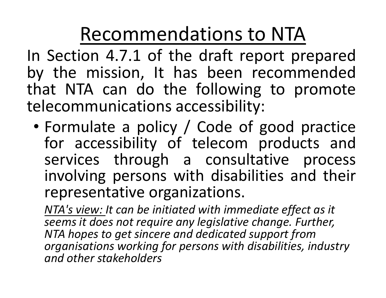In Section 4.7.1 of the draft report prepared by the mission, It has been recommended that NTA can do the following to promote telecommunications accessibility:

• Formulate <sup>a</sup> policy / Code of good practice for accessibility of telecom products and<br>services through a consultative process services through a consultative process involving persons with disabilities and their representative organizations.

NTA's view: It can be initiated with immediate effect as it seems it does not require any legislative change. Further, NTA hopes to get sincere and dedicated support from organisations working for persons with disabilities, industry and other stakeholders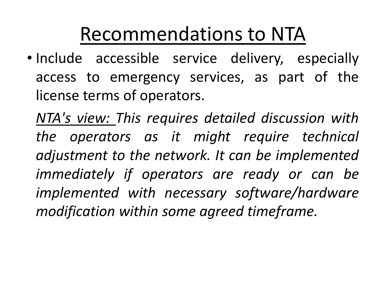• Include accessible service delivery, especially access to emergency services, as part of the license terms of operators.

NTA's view: This requires detailed discussion with the operators as it might require technical adjustment to the network. It can be implemented immediately if operators are ready or can be implemented with necessary software/hardware modification within some agreed timeframe.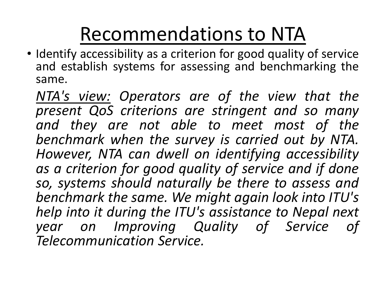• Identify accessibility as <sup>a</sup> criterion for good quality of service and establish systems for assessing and benchmarking the same.

NTA's view: Operators are of the view that the present QoS criterions are stringent and so many and they are not able to meet most of the benchmark when the survey is carried out by NTA. However, NTA can dwell on identifying accessibility as <sup>a</sup> criterion for good quality of service and if done so, systems should naturally be there to assess and benchmark the same. We might again look into ITU's help into it during the ITU's assistance to Nepal next year on Improving Quality of Service of Telecommunication Service.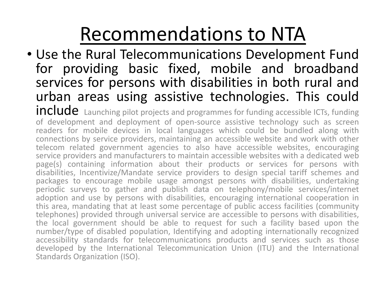• Use the Rural Telecommunications Development Fund for providing basic fixed, mobile and broadbandservices for persons with disabilities in both rural and urban areas using assistive technologies. This could $inc$  Launching pilot projects and programmes for funding accessible ICTs, funding **E** Launching pilot projects and programmes for funding accessible ICTs, funding<br>nmont, and, donloyment, of, onen source, assistive, technology, such as screen of development and deployment of open-source assistive technology such as screenreaders for mobile devices in local languages which could be bundled along with connections by service providers, maintaining an accessible website and work with other telecom related government agencies to also have accessible websites, encouraging<br>service.providers.and.manufacturers.to.maintain.accessible.websites.with.a.dedicated.web service providers and manufacturers to maintain accessible websites with <sup>a</sup> dedicated web page(s) containing information about their products or services for persons with disabilities, Incentivize/Mandate service providers to design special tariff schemes andpackages to encourage mobile usage amongst persons with disabilities, undertaking periodic surveys to gather and publish data on telephony/mobile services/internet adoption and use by persons with disabilities, encouraging international cooperation in this area, mandating that at least some percentage of public access facilities (community telephones) provided through universal service are accessible to persons with disabilities, the local government should be able to request for such <sup>a</sup> facility based upon the number/type of disabled population, Identifying and adopting internationally recognizedaccessibility standards for telecommunications products and services such as those developed by the International Telecommunication Union (ITU) and the International Standards Organization (ISO).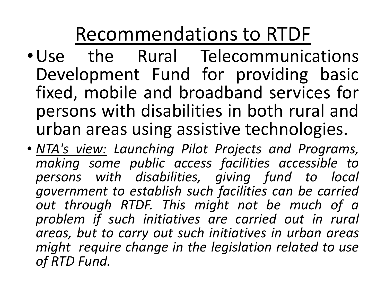- •Use the Rural Telecommunications Development Fund for providing basic fixed, mobile and broadband services for persons with disabilities in both rural andurban areas using assistive technologies.
- NTA's view: Launching Pilot Projects and Programs, making some public access facilities accessible to persons with disabilities, giving fund to local government to establish such facilities can be carried out through RTDF. This might not be much of <sup>a</sup> problem if such initiatives are carried out in rural areas, but to carry out such initiatives in urban areas might require change in the legislation related to use of RTD Fund.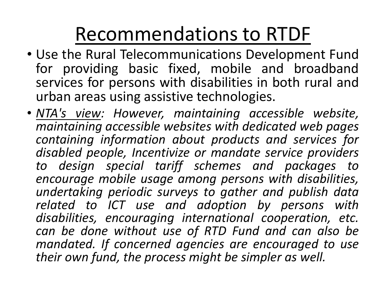- Use the Rural Telecommunications Development Fund for providing basic fixed, mobile and broadbandservices for persons with disabilities in both rural and urban areas using assistive technologies.
- NTA's view: However, maintaining accessible website, maintaining accessible websites with dedicated web pages containing information about products and services for disabled people, Incentivize or mandate service providers to design special tariff schemes and packages to encourage mobile usage among persons with disabilities, undertaking periodic surveys to gather and publish data related to ICT use and adoption by persons with disabilities, encouraging international cooperation, etc. can be done without use of RTD Fund and can also be mandated. If concerned agencies are encouraged to use their own fund, the process might be simpler as well.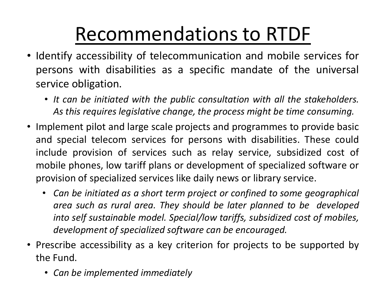- Identify accessibility of telecommunication and mobile services for persons with disabilities as <sup>a</sup> specific mandate of the universal service obligation.
	- It can be initiated with the public consultation with all the stakeholders. As this requires legislative change, the process might be time consuming.
- Implement pilot and large scale projects and programmes to provide basic and special telecom services for persons with disabilities. These could include provision of services such as relay service, subsidized cost of mobile phones, low tariff plans or development of specialized software or provision of specialized services like daily news or library service.
	- • Can be initiated as <sup>a</sup> short term project or confined to some geographical area such as rural area. They should be later planned to be developed into self sustainable model. Special/low tariffs, subsidized cost of mobiles, development of specialized software can be encouraged.
- Prescribe accessibility as <sup>a</sup> key criterion for projects to be supported by the Fund.
	- Can be implemented immediately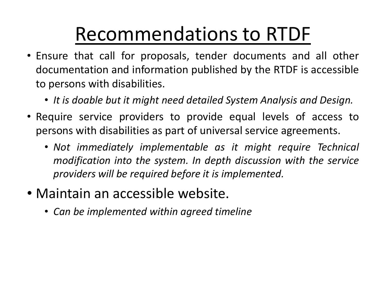- Ensure that call for proposals, tender documents and all other documentation and information published by the RTDF is accessible to persons with disabilities.
	- It is doable but it might need detailed System Analysis and Design.
- Require service providers to provide equal levels of access topersons with disabilities as part of universal service agreements.
	- Not immediately implementable as it might require Technical modification into the system. In depth discussion with the service providers will be required before it is implemented.
- Maintain an accessible website.
	- Can be implemented within agreed timeline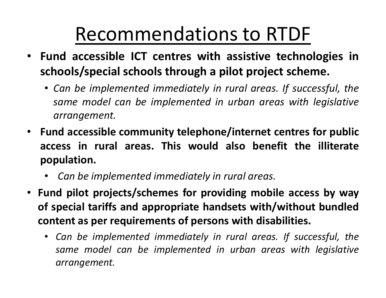- Fund accessible ICT centres with assistive technologies inschools/special schools through <sup>a</sup> pilot project scheme.
	- Can be implemented immediately in rural areas. If successful, the same model can be implemented in urban areas with legislativ earrangement.
- Fund accessible community telephone/internet centres for public access in rural areas. This would also benefit the illiterate population.
	- •Can be implemented immediately in rural areas.
- Fund pilot projects/schemes for providing mobile access by way of special tariffs and appropriate handsets with/without bundledcontent as per requirements of persons with disabilities.
	- Can be implemented immediately in rural areas. If successful, the same model can be implemented in urban areas with legislative arrangement.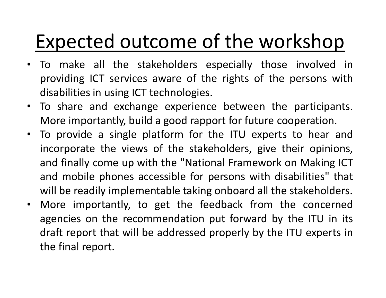#### Expected outcome of the workshop

- • To make all the stakeholders especially those involved in providing ICT services aware of the rights of the persons wit hdisabilities in using ICT technologies.
- To share and exchange experience between the participants. More importantly, build <sup>a</sup> good rapport for future cooperation.
- To provide <sup>a</sup> single platform for the ITU experts to hear and incorporate the views of the stakeholders, give their opinions, and finally come up with the "National Framework on Making ICT and mobile phones accessible for persons with disabilities" that will be readily implementable taking onboard all the stakeholders.
- $\bullet$  More importantly, to get the feedback from the concerned agencies on the recommendation put forward by the ITU in its draft report that will be addressed properly by the ITU experts inthe final report.